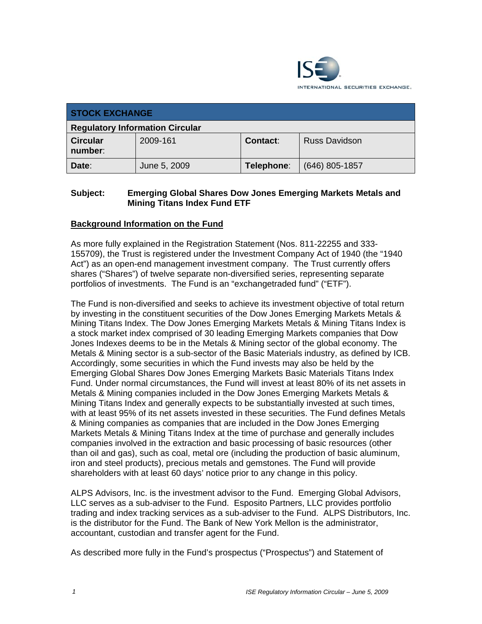

| <b>STOCK EXCHANGE</b>                  |              |            |                      |
|----------------------------------------|--------------|------------|----------------------|
| <b>Regulatory Information Circular</b> |              |            |                      |
| <b>Circular</b><br>number:             | 2009-161     | Contact:   | <b>Russ Davidson</b> |
| Date:                                  | June 5, 2009 | Telephone: | $(646)$ 805-1857     |

### **Subject: Emerging Global Shares Dow Jones Emerging Markets Metals and Mining Titans Index Fund ETF**

### **Background Information on the Fund**

As more fully explained in the Registration Statement (Nos. 811-22255 and 333- 155709), the Trust is registered under the Investment Company Act of 1940 (the "1940 Act") as an open-end management investment company. The Trust currently offers shares ("Shares") of twelve separate non-diversified series, representing separate portfolios of investments. The Fund is an "exchangetraded fund" ("ETF").

The Fund is non-diversified and seeks to achieve its investment objective of total return by investing in the constituent securities of the Dow Jones Emerging Markets Metals & Mining Titans Index. The Dow Jones Emerging Markets Metals & Mining Titans Index is a stock market index comprised of 30 leading Emerging Markets companies that Dow Jones Indexes deems to be in the Metals & Mining sector of the global economy. The Metals & Mining sector is a sub-sector of the Basic Materials industry, as defined by ICB. Accordingly, some securities in which the Fund invests may also be held by the Emerging Global Shares Dow Jones Emerging Markets Basic Materials Titans Index Fund. Under normal circumstances, the Fund will invest at least 80% of its net assets in Metals & Mining companies included in the Dow Jones Emerging Markets Metals & Mining Titans Index and generally expects to be substantially invested at such times, with at least 95% of its net assets invested in these securities. The Fund defines Metals & Mining companies as companies that are included in the Dow Jones Emerging Markets Metals & Mining Titans Index at the time of purchase and generally includes companies involved in the extraction and basic processing of basic resources (other than oil and gas), such as coal, metal ore (including the production of basic aluminum, iron and steel products), precious metals and gemstones. The Fund will provide shareholders with at least 60 days' notice prior to any change in this policy.

ALPS Advisors, Inc. is the investment advisor to the Fund. Emerging Global Advisors, LLC serves as a sub-adviser to the Fund. Esposito Partners, LLC provides portfolio trading and index tracking services as a sub-adviser to the Fund. ALPS Distributors, Inc. is the distributor for the Fund. The Bank of New York Mellon is the administrator, accountant, custodian and transfer agent for the Fund.

As described more fully in the Fund's prospectus ("Prospectus") and Statement of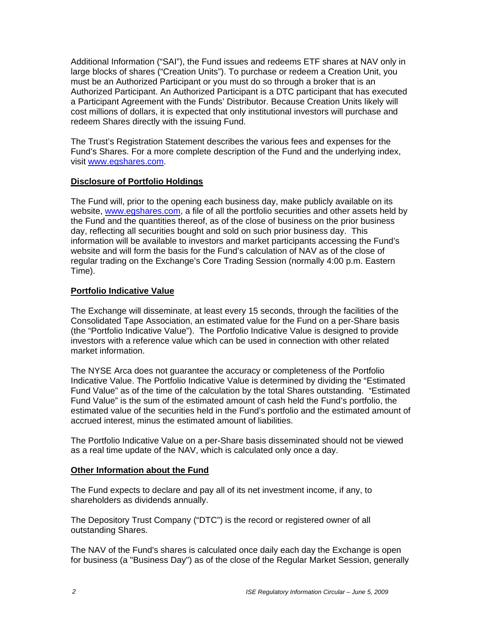Additional Information ("SAI"), the Fund issues and redeems ETF shares at NAV only in large blocks of shares ("Creation Units"). To purchase or redeem a Creation Unit, you must be an Authorized Participant or you must do so through a broker that is an Authorized Participant. An Authorized Participant is a DTC participant that has executed a Participant Agreement with the Funds' Distributor. Because Creation Units likely will cost millions of dollars, it is expected that only institutional investors will purchase and redeem Shares directly with the issuing Fund.

The Trust's Registration Statement describes the various fees and expenses for the Fund's Shares. For a more complete description of the Fund and the underlying index, visit www.egshares.com.

### **Disclosure of Portfolio Holdings**

The Fund will, prior to the opening each business day, make publicly available on its website, www.egshares.com, a file of all the portfolio securities and other assets held by the Fund and the quantities thereof, as of the close of business on the prior business day, reflecting all securities bought and sold on such prior business day. This information will be available to investors and market participants accessing the Fund's website and will form the basis for the Fund's calculation of NAV as of the close of regular trading on the Exchange's Core Trading Session (normally 4:00 p.m. Eastern Time).

### **Portfolio Indicative Value**

The Exchange will disseminate, at least every 15 seconds, through the facilities of the Consolidated Tape Association, an estimated value for the Fund on a per-Share basis (the "Portfolio Indicative Value"). The Portfolio Indicative Value is designed to provide investors with a reference value which can be used in connection with other related market information.

The NYSE Arca does not guarantee the accuracy or completeness of the Portfolio Indicative Value. The Portfolio Indicative Value is determined by dividing the "Estimated Fund Value" as of the time of the calculation by the total Shares outstanding. "Estimated Fund Value" is the sum of the estimated amount of cash held the Fund's portfolio, the estimated value of the securities held in the Fund's portfolio and the estimated amount of accrued interest, minus the estimated amount of liabilities.

The Portfolio Indicative Value on a per-Share basis disseminated should not be viewed as a real time update of the NAV, which is calculated only once a day.

### **Other Information about the Fund**

The Fund expects to declare and pay all of its net investment income, if any, to shareholders as dividends annually.

The Depository Trust Company ("DTC") is the record or registered owner of all outstanding Shares.

The NAV of the Fund's shares is calculated once daily each day the Exchange is open for business (a "Business Day") as of the close of the Regular Market Session, generally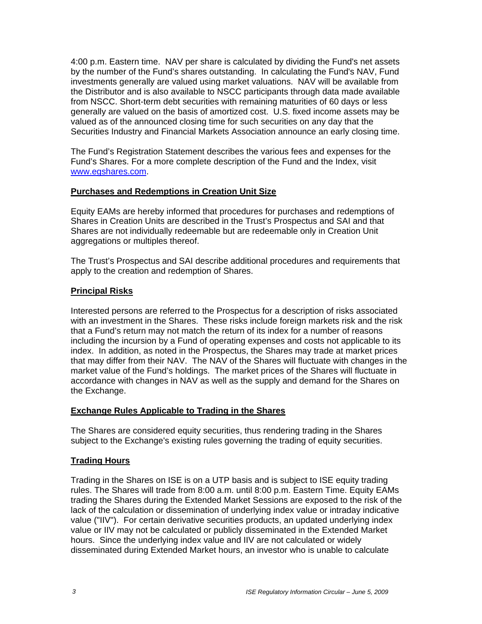4:00 p.m. Eastern time. NAV per share is calculated by dividing the Fund's net assets by the number of the Fund's shares outstanding. In calculating the Fund's NAV, Fund investments generally are valued using market valuations. NAV will be available from the Distributor and is also available to NSCC participants through data made available from NSCC. Short-term debt securities with remaining maturities of 60 days or less generally are valued on the basis of amortized cost. U.S. fixed income assets may be valued as of the announced closing time for such securities on any day that the Securities Industry and Financial Markets Association announce an early closing time.

The Fund's Registration Statement describes the various fees and expenses for the Fund's Shares. For a more complete description of the Fund and the Index, visit www.egshares.com.

### **Purchases and Redemptions in Creation Unit Size**

Equity EAMs are hereby informed that procedures for purchases and redemptions of Shares in Creation Units are described in the Trust's Prospectus and SAI and that Shares are not individually redeemable but are redeemable only in Creation Unit aggregations or multiples thereof.

The Trust's Prospectus and SAI describe additional procedures and requirements that apply to the creation and redemption of Shares.

### **Principal Risks**

Interested persons are referred to the Prospectus for a description of risks associated with an investment in the Shares. These risks include foreign markets risk and the risk that a Fund's return may not match the return of its index for a number of reasons including the incursion by a Fund of operating expenses and costs not applicable to its index. In addition, as noted in the Prospectus, the Shares may trade at market prices that may differ from their NAV. The NAV of the Shares will fluctuate with changes in the market value of the Fund's holdings. The market prices of the Shares will fluctuate in accordance with changes in NAV as well as the supply and demand for the Shares on the Exchange.

### **Exchange Rules Applicable to Trading in the Shares**

The Shares are considered equity securities, thus rendering trading in the Shares subject to the Exchange's existing rules governing the trading of equity securities.

## **Trading Hours**

Trading in the Shares on ISE is on a UTP basis and is subject to ISE equity trading rules. The Shares will trade from 8:00 a.m. until 8:00 p.m. Eastern Time. Equity EAMs trading the Shares during the Extended Market Sessions are exposed to the risk of the lack of the calculation or dissemination of underlying index value or intraday indicative value ("IIV"). For certain derivative securities products, an updated underlying index value or IIV may not be calculated or publicly disseminated in the Extended Market hours. Since the underlying index value and IIV are not calculated or widely disseminated during Extended Market hours, an investor who is unable to calculate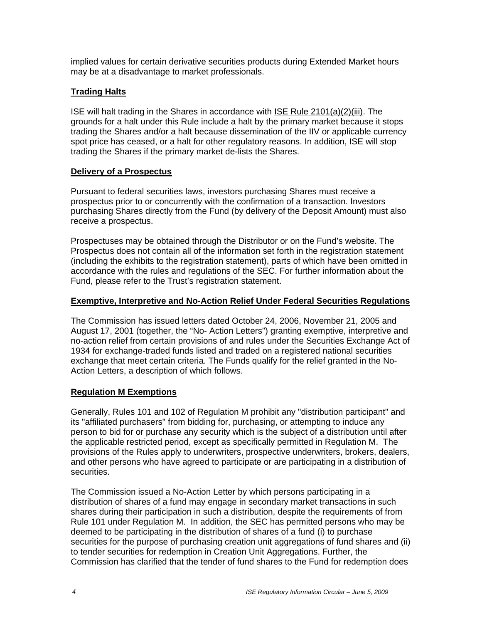implied values for certain derivative securities products during Extended Market hours may be at a disadvantage to market professionals.

### **Trading Halts**

ISE will halt trading in the Shares in accordance with ISE Rule 2101(a)(2)(iii). The grounds for a halt under this Rule include a halt by the primary market because it stops trading the Shares and/or a halt because dissemination of the IIV or applicable currency spot price has ceased, or a halt for other regulatory reasons. In addition, ISE will stop trading the Shares if the primary market de-lists the Shares.

### **Delivery of a Prospectus**

Pursuant to federal securities laws, investors purchasing Shares must receive a prospectus prior to or concurrently with the confirmation of a transaction. Investors purchasing Shares directly from the Fund (by delivery of the Deposit Amount) must also receive a prospectus.

Prospectuses may be obtained through the Distributor or on the Fund's website. The Prospectus does not contain all of the information set forth in the registration statement (including the exhibits to the registration statement), parts of which have been omitted in accordance with the rules and regulations of the SEC. For further information about the Fund, please refer to the Trust's registration statement.

### **Exemptive, Interpretive and No-Action Relief Under Federal Securities Regulations**

The Commission has issued letters dated October 24, 2006, November 21, 2005 and August 17, 2001 (together, the "No- Action Letters") granting exemptive, interpretive and no-action relief from certain provisions of and rules under the Securities Exchange Act of 1934 for exchange-traded funds listed and traded on a registered national securities exchange that meet certain criteria. The Funds qualify for the relief granted in the No-Action Letters, a description of which follows.

### **Regulation M Exemptions**

Generally, Rules 101 and 102 of Regulation M prohibit any "distribution participant" and its "affiliated purchasers" from bidding for, purchasing, or attempting to induce any person to bid for or purchase any security which is the subject of a distribution until after the applicable restricted period, except as specifically permitted in Regulation M. The provisions of the Rules apply to underwriters, prospective underwriters, brokers, dealers, and other persons who have agreed to participate or are participating in a distribution of securities.

The Commission issued a No-Action Letter by which persons participating in a distribution of shares of a fund may engage in secondary market transactions in such shares during their participation in such a distribution, despite the requirements of from Rule 101 under Regulation M. In addition, the SEC has permitted persons who may be deemed to be participating in the distribution of shares of a fund (i) to purchase securities for the purpose of purchasing creation unit aggregations of fund shares and (ii) to tender securities for redemption in Creation Unit Aggregations. Further, the Commission has clarified that the tender of fund shares to the Fund for redemption does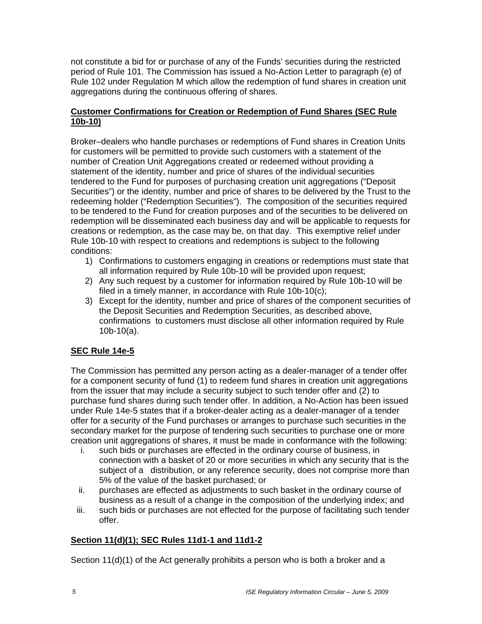not constitute a bid for or purchase of any of the Funds' securities during the restricted period of Rule 101. The Commission has issued a No-Action Letter to paragraph (e) of Rule 102 under Regulation M which allow the redemption of fund shares in creation unit aggregations during the continuous offering of shares.

### **Customer Confirmations for Creation or Redemption of Fund Shares (SEC Rule 10b-10)**

Broker–dealers who handle purchases or redemptions of Fund shares in Creation Units for customers will be permitted to provide such customers with a statement of the number of Creation Unit Aggregations created or redeemed without providing a statement of the identity, number and price of shares of the individual securities tendered to the Fund for purposes of purchasing creation unit aggregations ("Deposit Securities") or the identity, number and price of shares to be delivered by the Trust to the redeeming holder ("Redemption Securities"). The composition of the securities required to be tendered to the Fund for creation purposes and of the securities to be delivered on redemption will be disseminated each business day and will be applicable to requests for creations or redemption, as the case may be, on that day. This exemptive relief under Rule 10b-10 with respect to creations and redemptions is subject to the following conditions:

- 1) Confirmations to customers engaging in creations or redemptions must state that all information required by Rule 10b-10 will be provided upon request;
- 2) Any such request by a customer for information required by Rule 10b-10 will be filed in a timely manner, in accordance with Rule 10b-10(c);
- 3) Except for the identity, number and price of shares of the component securities of the Deposit Securities and Redemption Securities, as described above, confirmations to customers must disclose all other information required by Rule 10b-10(a).

# **SEC Rule 14e-5**

The Commission has permitted any person acting as a dealer-manager of a tender offer for a component security of fund (1) to redeem fund shares in creation unit aggregations from the issuer that may include a security subject to such tender offer and (2) to purchase fund shares during such tender offer. In addition, a No-Action has been issued under Rule 14e-5 states that if a broker-dealer acting as a dealer-manager of a tender offer for a security of the Fund purchases or arranges to purchase such securities in the secondary market for the purpose of tendering such securities to purchase one or more creation unit aggregations of shares, it must be made in conformance with the following:

- i. such bids or purchases are effected in the ordinary course of business, in connection with a basket of 20 or more securities in which any security that is the subject of a distribution, or any reference security, does not comprise more than 5% of the value of the basket purchased; or
- ii. purchases are effected as adjustments to such basket in the ordinary course of business as a result of a change in the composition of the underlying index; and
- iii. such bids or purchases are not effected for the purpose of facilitating such tender offer.

## **Section 11(d)(1); SEC Rules 11d1-1 and 11d1-2**

Section 11(d)(1) of the Act generally prohibits a person who is both a broker and a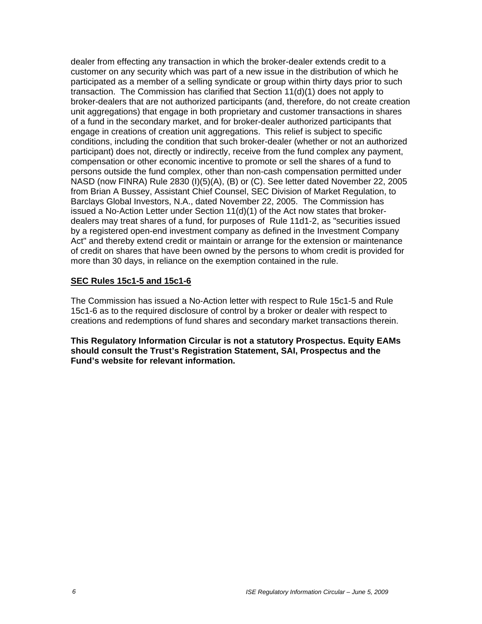dealer from effecting any transaction in which the broker-dealer extends credit to a customer on any security which was part of a new issue in the distribution of which he participated as a member of a selling syndicate or group within thirty days prior to such transaction. The Commission has clarified that Section 11(d)(1) does not apply to broker-dealers that are not authorized participants (and, therefore, do not create creation unit aggregations) that engage in both proprietary and customer transactions in shares of a fund in the secondary market, and for broker-dealer authorized participants that engage in creations of creation unit aggregations. This relief is subject to specific conditions, including the condition that such broker-dealer (whether or not an authorized participant) does not, directly or indirectly, receive from the fund complex any payment, compensation or other economic incentive to promote or sell the shares of a fund to persons outside the fund complex, other than non-cash compensation permitted under NASD (now FINRA) Rule 2830 (I)(5)(A), (B) or (C). See letter dated November 22, 2005 from Brian A Bussey, Assistant Chief Counsel, SEC Division of Market Regulation, to Barclays Global Investors, N.A., dated November 22, 2005. The Commission has issued a No-Action Letter under Section  $11(d)(1)$  of the Act now states that brokerdealers may treat shares of a fund, for purposes of Rule 11d1-2, as "securities issued by a registered open-end investment company as defined in the Investment Company Act" and thereby extend credit or maintain or arrange for the extension or maintenance of credit on shares that have been owned by the persons to whom credit is provided for more than 30 days, in reliance on the exemption contained in the rule.

#### **SEC Rules 15c1-5 and 15c1-6**

The Commission has issued a No-Action letter with respect to Rule 15c1-5 and Rule 15c1-6 as to the required disclosure of control by a broker or dealer with respect to creations and redemptions of fund shares and secondary market transactions therein.

**This Regulatory Information Circular is not a statutory Prospectus. Equity EAMs should consult the Trust's Registration Statement, SAI, Prospectus and the Fund's website for relevant information.**